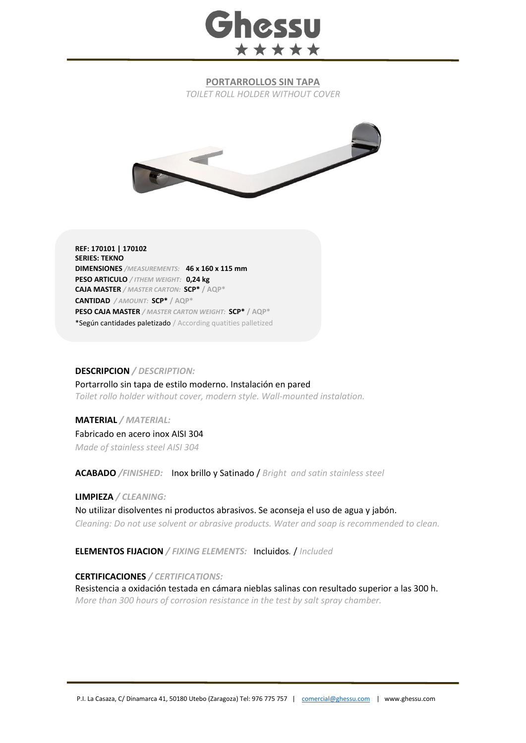

## **PORTARROLLOS SIN TAPA**

*TOILET ROLL HOLDER WITHOUT COVER*



**REF: 170101 | 170102 SERIES: TEKNO DIMENSIONES** */MEASUREMENTS:* **46 x 160 x 115 mm PESO ARTICULO** */ ITHEM WEIGHT:* **0,24 kg CAJA MASTER** */ MASTER CARTON:* **SCP\* / AQP\* CANTIDAD** */ AMOUNT:* **SCP\* / AQP\* PESO CAJA MASTER** */ MASTER CARTON WEIGHT:* **SCP\* / AQP\*** \*Según cantidades paletizado / According quatities palletized

## **DESCRIPCION** */ DESCRIPTION:*

Portarrollo sin tapa de estilo moderno. Instalación en pared *Toilet rollo holder without cover, modern style. Wall-mounted instalation.*

**MATERIAL** */ MATERIAL:* Fabricado en acero inox AISI 304 *Made of stainless steel AISI 304*

**ACABADO** */FINISHED:*Inox brillo y Satinado / *Bright and satin stainless steel*

**LIMPIEZA** */ CLEANING:* 

No utilizar disolventes ni productos abrasivos. Se aconseja el uso de agua y jabón. *Cleaning: Do not use solvent or abrasive products. Water and soap is recommended to clean.*

**ELEMENTOS FIJACION** */ FIXING ELEMENTS:* Incluidos*.* / *Included*

**CERTIFICACIONES** */ CERTIFICATIONS:*

Resistencia a oxidación testada en cámara nieblas salinas con resultado superior a las 300 h. *More than 300 hours of corrosion resistance in the test by salt spray chamber.*